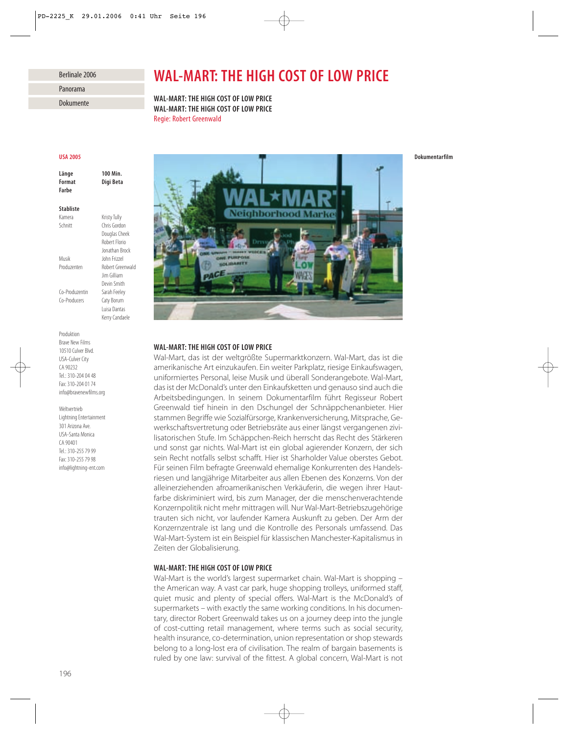## Berlinale 2006

| Panorama               |  |
|------------------------|--|
|                        |  |
| $D$ al $\cdots$ maanta |  |

Dokumente

# *WAL-MART: THE HIGH COST OF LOW PRICE*

*WAL-MART: THE HIGH COST OF LOW PRICE WAL-MART: THE HIGH COST OF LOW PRICE* Regie: Robert Greenwald

## *USA 2005*

*Länge 100 Min. Format Digi Beta Farbe*

## *Stabliste*

Kamera Kristy Tully Schnitt Chris Gordon

Douglas Cheek Robert Florio Jonathan Brock Musik John Frizzel Produzenten Robert Greenwald Jim Gilliam Devin Smith Co-Produzentin Sarah Feeley Co-Producers Caty Borum Luisa Dantas

Kerry Candaele

Produktion Brave New Films 10510 Culver Blvd. USA-Culver City CA 90232 Tel.: 310-204 04 48 Fax: 310-204 01 74 info@bravenewfilms.org

Weltvertrieb Lightning Entertainment 301 Arizona Ave. USA-Santa Monica CA 90401 Tel.: 310-255 79 99 Fax: 310-255 79 98 info@lightning-ent.com



# *WAL-MART: THE HIGH COST OF LOW PRICE*

Wal-Mart, das ist der weltgrößte Supermarktkonzern. Wal-Mart, das ist die amerikanische Art einzukaufen. Ein weiter Parkplatz, riesige Einkaufswagen, uniformiertes Personal, leise Musik und überall Sonderangebote. Wal-Mart, das ist der McDonald's unter den Einkaufsketten und genauso sind auch die Arbeitsbedingungen. In seinem Dokumentarfilm führt Regisseur Robert Greenwald tief hinein in den Dschungel der Schnäppchenanbieter. Hier stammen Begriffe wie Sozialfürsorge, Krankenversicherung, Mitsprache, Gewerkschaftsvertretung oder Betriebsräte aus einer längst vergangenen zivilisatorischen Stufe. Im Schäppchen-Reich herrscht das Recht des Stärkeren und sonst gar nichts. Wal-Mart ist ein global agierender Konzern, der sich sein Recht notfalls selbst schafft. Hier ist Sharholder Value oberstes Gebot. Für seinen Film befragte Greenwald ehemalige Konkurrenten des Handelsriesen und langjährige Mitarbeiter aus allen Ebenen des Konzerns. Von der alleinerziehenden afroamerikanischen Verkäuferin, die wegen ihrer Hautfarbe diskriminiert wird, bis zum Manager, der die menschenverachtende Konzernpolitik nicht mehr mittragen will. Nur Wal-Mart-Betriebszugehörige trauten sich nicht, vor laufender Kamera Auskunft zu geben. Der Arm der Konzernzentrale ist lang und die Kontrolle des Personals umfassend. Das Wal-Mart-System ist ein Beispiel für klassischen Manchester-Kapitalismus in Zeiten der Globalisierung.

# *WAL-MART: THE HIGH COST OF LOW PRICE*

Wal-Mart is the world's largest supermarket chain. Wal-Mart is shopping – the American way. A vast car park, huge shopping trolleys, uniformed staff, quiet music and plenty of special offers. Wal-Mart is the McDonald's of supermarkets – with exactly the same working conditions. In his documentary, director Robert Greenwald takes us on a journey deep into the jungle of cost-cutting retail management, where terms such as social security, health insurance, co-determination, union representation or shop stewards belong to a long-lost era of civilisation. The realm of bargain basements is ruled by one law: survival of the fittest. A global concern, Wal-Mart is not